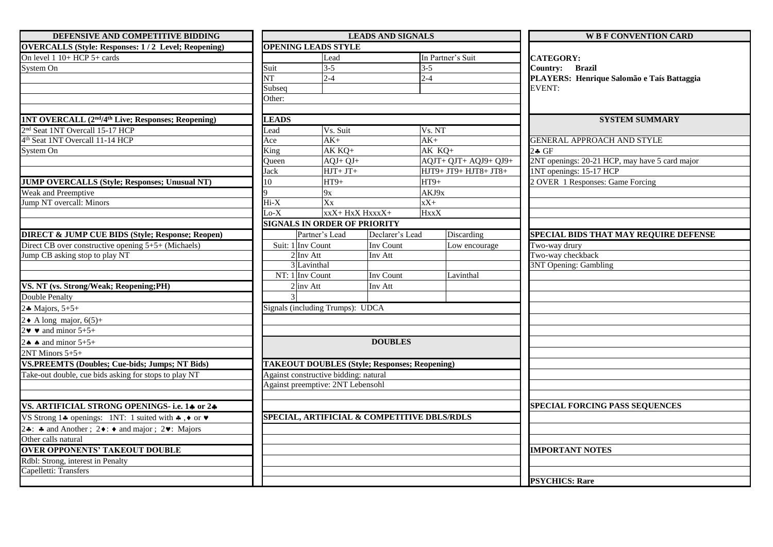| DEFENSIVE AND COMPETITIVE BIDDING                                                          |                        |                                                      | <b>LEADS AND SIGNALS</b>     |                                             | <b>WB F CONVENTION CARD</b>                    |  |
|--------------------------------------------------------------------------------------------|------------------------|------------------------------------------------------|------------------------------|---------------------------------------------|------------------------------------------------|--|
| <b>OVERCALLS (Style: Responses: 1/2 Level; Reopening)</b>                                  |                        | <b>OPENING LEADS STYLE</b>                           |                              |                                             |                                                |  |
| On level 1 10+ HCP 5+ cards                                                                |                        | Lead                                                 |                              | In Partner's Suit                           | <b>CATEGORY:</b>                               |  |
| System On                                                                                  | Suit                   | $3 - 5$                                              |                              | $3 - 5$                                     | Country: Brazil                                |  |
|                                                                                            | $\overline{\text{NT}}$ | $2 - 4$                                              |                              | $2 - 4$                                     | PLAYERS: Henrique Salomão e Taís Battaggia     |  |
|                                                                                            | Subseq                 |                                                      |                              |                                             | <b>EVENT:</b>                                  |  |
|                                                                                            | Other:                 |                                                      |                              |                                             |                                                |  |
|                                                                                            |                        |                                                      |                              |                                             |                                                |  |
| 1NT OVERCALL (2 <sup>nd</sup> /4 <sup>th</sup> Live; Responses; Reopening)                 | <b>LEADS</b>           |                                                      |                              |                                             | <b>SYSTEM SUMMARY</b>                          |  |
| 2 <sup>nd</sup> Seat 1NT Overcall 15-17 HCP                                                | Lead                   | Vs. Suit                                             |                              | Vs. NT                                      |                                                |  |
| 4 <sup>th</sup> Seat 1NT Overcall 11-14 HCP                                                | Ace                    | $AK+$                                                |                              | $AK+$                                       | <b>GENERAL APPROACH AND STYLE</b>              |  |
| System On                                                                                  | King                   | AK KQ+                                               |                              | AK KQ+                                      | 2. GF                                          |  |
|                                                                                            | Oueen                  | $AQJ+QJ+$                                            |                              | AQJT+ QJT+ AQJ9+ QJ9+                       | 2NT openings: 20-21 HCP, may have 5 card major |  |
|                                                                                            | Jack                   | $HJT+JT+$                                            |                              | НЈТ9+ ЈТ9+ НЈТ8+ ЈТ8+                       | 1NT openings: 15-17 HCP                        |  |
| JUMP OVERCALLS (Style; Responses; Unusual NT)                                              | 10                     | $HT9+$                                               |                              | $HT9+$                                      | 2 OVER 1 Responses: Game Forcing               |  |
| Weak and Preemptive                                                                        |                        | 9x                                                   |                              | AKJ9x                                       |                                                |  |
| Jump NT overcall: Minors                                                                   | $Hi-X$                 | Xx<br>$xX+$                                          |                              |                                             |                                                |  |
|                                                                                            | $Lo-X$                 | xxX+ HxX HxxxX+                                      |                              | HxxX                                        |                                                |  |
|                                                                                            |                        | <b>SIGNALS IN ORDER OF PRIORITY</b>                  |                              |                                             |                                                |  |
| <b>DIRECT &amp; JUMP CUE BIDS (Style; Response; Reopen)</b>                                |                        | Partner's Lead                                       | Declarer's Lead<br>Inv Count | Discarding                                  | SPECIAL BIDS THAT MAY REQUIRE DEFENSE          |  |
| Direct CB over constructive opening 5+5+ (Michaels)                                        |                        | Suit: 1 Inv Count                                    |                              | Low encourage                               | Two-way drury                                  |  |
| Jump CB asking stop to play NT                                                             | $2 \ln v \text{ Att}$  |                                                      | Inv Att                      |                                             | Two-way checkback                              |  |
|                                                                                            |                        | 3 Lavinthal                                          |                              |                                             | 3NT Opening: Gambling                          |  |
|                                                                                            | NT: 1 Inv Count        |                                                      | Inv Count                    | Lavinthal                                   |                                                |  |
| VS. NT (vs. Strong/Weak; Reopening;PH)                                                     |                        | $2 \vert inv \right)$ Att<br>Inv Att                 |                              |                                             |                                                |  |
| Double Penalty                                                                             |                        |                                                      |                              |                                             |                                                |  |
| 24 Majors, $5+5+$                                                                          |                        | Signals (including Trumps): UDCA                     |                              |                                             |                                                |  |
| $2 \triangle A$ long major, 6(5)+                                                          |                        |                                                      |                              |                                             |                                                |  |
| $2\mathbf{v} \bullet$ and minor 5+5+                                                       |                        |                                                      |                              |                                             |                                                |  |
| 2. $\bullet$ and minor 5+5+                                                                |                        |                                                      | <b>DOUBLES</b>               |                                             |                                                |  |
| 2NT Minors 5+5+                                                                            |                        |                                                      |                              |                                             |                                                |  |
| <b>VS.PREEMTS (Doubles; Cue-bids; Jumps; NT Bids)</b>                                      |                        | <b>TAKEOUT DOUBLES (Style; Responses; Reopening)</b> |                              |                                             |                                                |  |
| Take-out double, cue bids asking for stops to play NT                                      |                        | Against constructive bidding: natural                |                              |                                             |                                                |  |
|                                                                                            |                        | Against preemptive: 2NT Lebensohl                    |                              |                                             |                                                |  |
|                                                                                            |                        |                                                      |                              |                                             |                                                |  |
| VS. ARTIFICIAL STRONG OPENINGS- i.e. 14 or 24                                              |                        |                                                      |                              |                                             | <b>SPECIAL FORCING PASS SEQUENCES</b>          |  |
| VS Strong 14 openings: 1NT: 1 suited with $\clubsuit$ , $\lozenge$ or $\blacktriangledown$ |                        |                                                      |                              | SPECIAL, ARTIFICIAL & COMPETITIVE DBLS/RDLS |                                                |  |
| 24: 4 and Another ; $2 \cdot : 4$ and major ; $2 \cdot : 2 \cdot : 1$ Majors               |                        |                                                      |                              |                                             |                                                |  |
| Other calls natural                                                                        |                        |                                                      |                              |                                             |                                                |  |
| <b>OVER OPPONENTS' TAKEOUT DOUBLE</b>                                                      |                        |                                                      |                              |                                             | <b>IMPORTANT NOTES</b>                         |  |
| Rdbl: Strong, interest in Penalty                                                          |                        |                                                      |                              |                                             |                                                |  |
| Capelletti: Transfers                                                                      |                        |                                                      |                              |                                             |                                                |  |
|                                                                                            |                        |                                                      |                              |                                             | <b>PSYCHICS: Rare</b>                          |  |